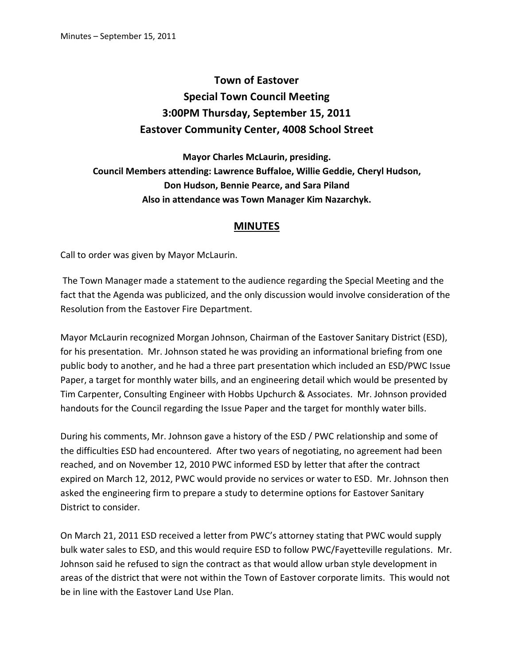## **Town of Eastover Special Town Council Meeting 3:00PM Thursday, September 15, 2011 Eastover Community Center, 4008 School Street**

**Mayor Charles McLaurin, presiding. Council Members attending: Lawrence Buffaloe, Willie Geddie, Cheryl Hudson, Don Hudson, Bennie Pearce, and Sara Piland Also in attendance was Town Manager Kim Nazarchyk.** 

## **MINUTES**

Call to order was given by Mayor McLaurin.

 The Town Manager made a statement to the audience regarding the Special Meeting and the fact that the Agenda was publicized, and the only discussion would involve consideration of the Resolution from the Eastover Fire Department.

Mayor McLaurin recognized Morgan Johnson, Chairman of the Eastover Sanitary District (ESD), for his presentation. Mr. Johnson stated he was providing an informational briefing from one public body to another, and he had a three part presentation which included an ESD/PWC Issue Paper, a target for monthly water bills, and an engineering detail which would be presented by Tim Carpenter, Consulting Engineer with Hobbs Upchurch & Associates. Mr. Johnson provided handouts for the Council regarding the Issue Paper and the target for monthly water bills.

During his comments, Mr. Johnson gave a history of the ESD / PWC relationship and some of the difficulties ESD had encountered. After two years of negotiating, no agreement had been reached, and on November 12, 2010 PWC informed ESD by letter that after the contract expired on March 12, 2012, PWC would provide no services or water to ESD. Mr. Johnson then asked the engineering firm to prepare a study to determine options for Eastover Sanitary District to consider.

On March 21, 2011 ESD received a letter from PWC's attorney stating that PWC would supply bulk water sales to ESD, and this would require ESD to follow PWC/Fayetteville regulations. Mr. Johnson said he refused to sign the contract as that would allow urban style development in areas of the district that were not within the Town of Eastover corporate limits. This would not be in line with the Eastover Land Use Plan.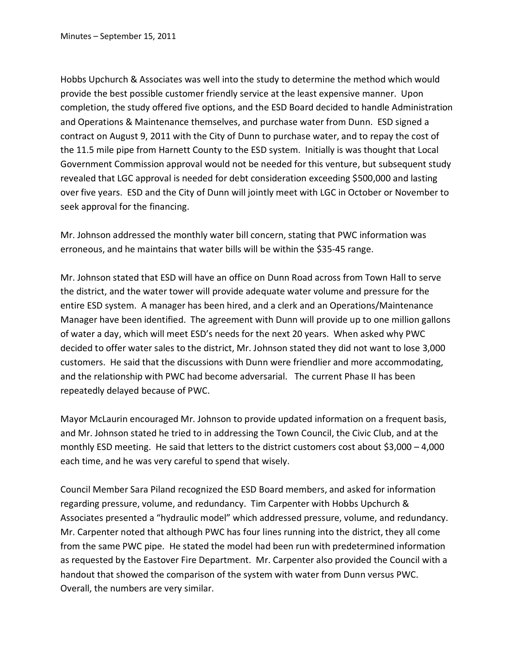Hobbs Upchurch & Associates was well into the study to determine the method which would provide the best possible customer friendly service at the least expensive manner. Upon completion, the study offered five options, and the ESD Board decided to handle Administration and Operations & Maintenance themselves, and purchase water from Dunn. ESD signed a contract on August 9, 2011 with the City of Dunn to purchase water, and to repay the cost of the 11.5 mile pipe from Harnett County to the ESD system. Initially is was thought that Local Government Commission approval would not be needed for this venture, but subsequent study revealed that LGC approval is needed for debt consideration exceeding \$500,000 and lasting over five years. ESD and the City of Dunn will jointly meet with LGC in October or November to seek approval for the financing.

Mr. Johnson addressed the monthly water bill concern, stating that PWC information was erroneous, and he maintains that water bills will be within the \$35-45 range.

Mr. Johnson stated that ESD will have an office on Dunn Road across from Town Hall to serve the district, and the water tower will provide adequate water volume and pressure for the entire ESD system. A manager has been hired, and a clerk and an Operations/Maintenance Manager have been identified. The agreement with Dunn will provide up to one million gallons of water a day, which will meet ESD's needs for the next 20 years. When asked why PWC decided to offer water sales to the district, Mr. Johnson stated they did not want to lose 3,000 customers. He said that the discussions with Dunn were friendlier and more accommodating, and the relationship with PWC had become adversarial. The current Phase II has been repeatedly delayed because of PWC.

Mayor McLaurin encouraged Mr. Johnson to provide updated information on a frequent basis, and Mr. Johnson stated he tried to in addressing the Town Council, the Civic Club, and at the monthly ESD meeting. He said that letters to the district customers cost about \$3,000 – 4,000 each time, and he was very careful to spend that wisely.

Council Member Sara Piland recognized the ESD Board members, and asked for information regarding pressure, volume, and redundancy. Tim Carpenter with Hobbs Upchurch & Associates presented a "hydraulic model" which addressed pressure, volume, and redundancy. Mr. Carpenter noted that although PWC has four lines running into the district, they all come from the same PWC pipe. He stated the model had been run with predetermined information as requested by the Eastover Fire Department. Mr. Carpenter also provided the Council with a handout that showed the comparison of the system with water from Dunn versus PWC. Overall, the numbers are very similar.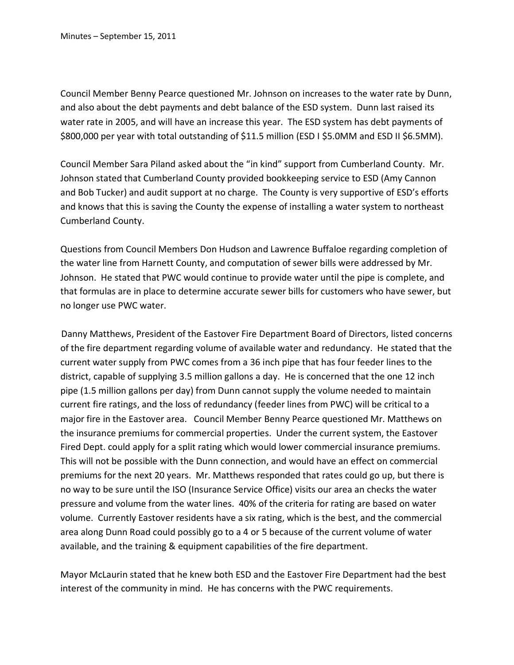Council Member Benny Pearce questioned Mr. Johnson on increases to the water rate by Dunn, and also about the debt payments and debt balance of the ESD system. Dunn last raised its water rate in 2005, and will have an increase this year. The ESD system has debt payments of \$800,000 per year with total outstanding of \$11.5 million (ESD I \$5.0MM and ESD II \$6.5MM).

Council Member Sara Piland asked about the "in kind" support from Cumberland County. Mr. Johnson stated that Cumberland County provided bookkeeping service to ESD (Amy Cannon and Bob Tucker) and audit support at no charge. The County is very supportive of ESD's efforts and knows that this is saving the County the expense of installing a water system to northeast Cumberland County.

Questions from Council Members Don Hudson and Lawrence Buffaloe regarding completion of the water line from Harnett County, and computation of sewer bills were addressed by Mr. Johnson. He stated that PWC would continue to provide water until the pipe is complete, and that formulas are in place to determine accurate sewer bills for customers who have sewer, but no longer use PWC water.

Danny Matthews, President of the Eastover Fire Department Board of Directors, listed concerns of the fire department regarding volume of available water and redundancy. He stated that the current water supply from PWC comes from a 36 inch pipe that has four feeder lines to the district, capable of supplying 3.5 million gallons a day. He is concerned that the one 12 inch pipe (1.5 million gallons per day) from Dunn cannot supply the volume needed to maintain current fire ratings, and the loss of redundancy (feeder lines from PWC) will be critical to a major fire in the Eastover area. Council Member Benny Pearce questioned Mr. Matthews on the insurance premiums for commercial properties. Under the current system, the Eastover Fired Dept. could apply for a split rating which would lower commercial insurance premiums. This will not be possible with the Dunn connection, and would have an effect on commercial premiums for the next 20 years. Mr. Matthews responded that rates could go up, but there is no way to be sure until the ISO (Insurance Service Office) visits our area an checks the water pressure and volume from the water lines. 40% of the criteria for rating are based on water volume. Currently Eastover residents have a six rating, which is the best, and the commercial area along Dunn Road could possibly go to a 4 or 5 because of the current volume of water available, and the training & equipment capabilities of the fire department.

Mayor McLaurin stated that he knew both ESD and the Eastover Fire Department had the best interest of the community in mind. He has concerns with the PWC requirements.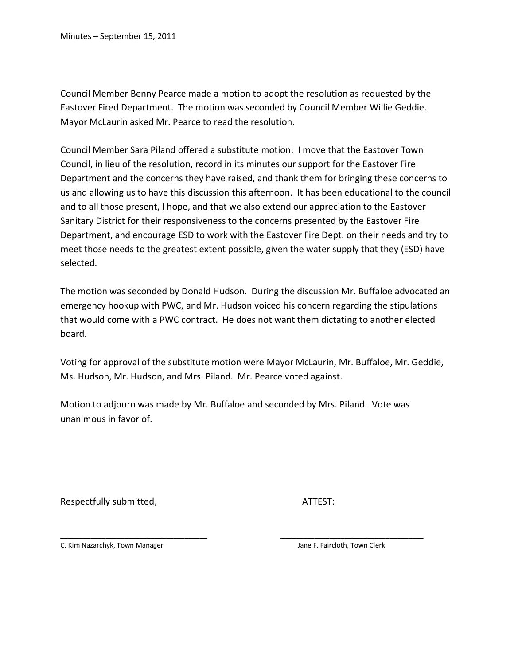Council Member Benny Pearce made a motion to adopt the resolution as requested by the Eastover Fired Department. The motion was seconded by Council Member Willie Geddie. Mayor McLaurin asked Mr. Pearce to read the resolution.

Council Member Sara Piland offered a substitute motion: I move that the Eastover Town Council, in lieu of the resolution, record in its minutes our support for the Eastover Fire Department and the concerns they have raised, and thank them for bringing these concerns to us and allowing us to have this discussion this afternoon. It has been educational to the council and to all those present, I hope, and that we also extend our appreciation to the Eastover Sanitary District for their responsiveness to the concerns presented by the Eastover Fire Department, and encourage ESD to work with the Eastover Fire Dept. on their needs and try to meet those needs to the greatest extent possible, given the water supply that they (ESD) have selected.

The motion was seconded by Donald Hudson. During the discussion Mr. Buffaloe advocated an emergency hookup with PWC, and Mr. Hudson voiced his concern regarding the stipulations that would come with a PWC contract. He does not want them dictating to another elected board.

Voting for approval of the substitute motion were Mayor McLaurin, Mr. Buffaloe, Mr. Geddie, Ms. Hudson, Mr. Hudson, and Mrs. Piland. Mr. Pearce voted against.

Motion to adjourn was made by Mr. Buffaloe and seconded by Mrs. Piland. Vote was unanimous in favor of.

\_\_\_\_\_\_\_\_\_\_\_\_\_\_\_\_\_\_\_\_\_\_\_\_\_\_\_\_\_\_\_\_\_\_\_\_\_\_\_ \_\_\_\_\_\_\_\_\_\_\_\_\_\_\_\_\_\_\_\_\_\_\_\_\_\_\_\_\_\_\_\_\_\_\_\_\_\_

Respectfully submitted, The Contract of ATTEST:

C. Kim Nazarchyk, Town Manager **Jane F. Faircloth, Town Clerk** Jane F. Faircloth, Town Clerk